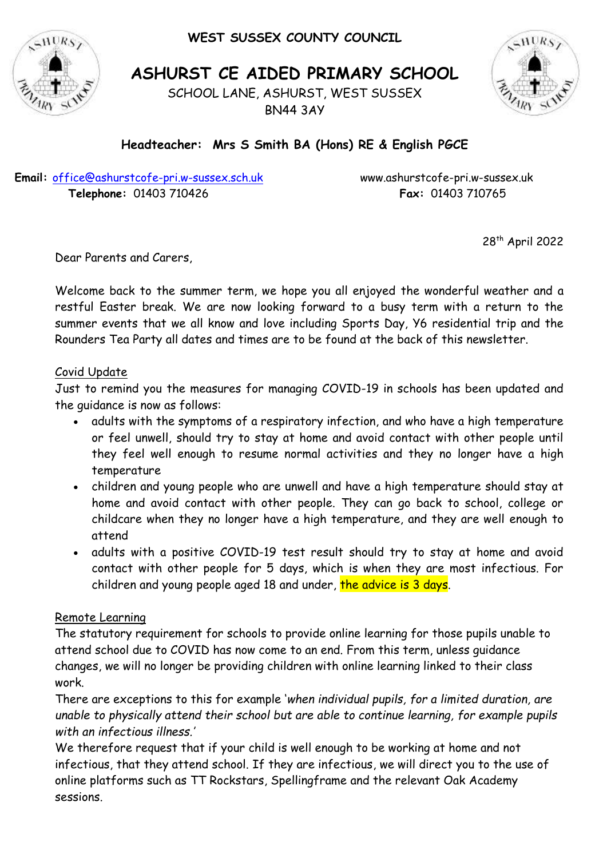**WEST SUSSEX COUNTY COUNCIL**



**ASHURST CE AIDED PRIMARY SCHOOL**

SCHOOL LANE, ASHURST, WEST SUSSEX BN44 3AY



# **Headteacher: Mrs S Smith BA (Hons) RE & English PGCE**

**Email:** [office@ashurstcofe-pri.w-sussex.sch.uk](mailto:office@ashurstcofe-pri.w-sussex.sch.uk) www.ashurstcofe-pri.w-sussex.uk  **Telephone:** 01403 710426 **Fax:** 01403 710765

28th April 2022

Dear Parents and Carers,

Welcome back to the summer term, we hope you all enjoyed the wonderful weather and a restful Easter break. We are now looking forward to a busy term with a return to the summer events that we all know and love including Sports Day, Y6 residential trip and the Rounders Tea Party all dates and times are to be found at the back of this newsletter.

#### Covid Update

Just to remind you the measures for managing COVID-19 in schools has been updated and the guidance is now as follows:

- adults with the symptoms of a respiratory infection, and who have a high temperature or feel unwell, should try to stay at home and avoid contact with other people until they feel well enough to resume normal activities and they no longer have a high temperature
- children and young people who are unwell and have a high temperature should stay at home and avoid contact with other people. They can go back to school, college or childcare when they no longer have a high temperature, and they are well enough to attend
- adults with a positive COVID-19 test result should try to stay at home and avoid contact with other people for 5 days, which is when they are most infectious. For children and young people aged 18 and under, the advice is 3 days.

#### Remote Learning

The statutory requirement for schools to provide online learning for those pupils unable to attend school due to COVID has now come to an end. From this term, unless guidance changes, we will no longer be providing children with online learning linked to their class work.

There are exceptions to this for example '*when individual pupils, for a limited duration, are unable to physically attend their school but are able to continue learning, for example pupils with an infectious illness.'*

We therefore request that if your child is well enough to be working at home and not infectious, that they attend school. If they are infectious, we will direct you to the use of online platforms such as TT Rockstars, Spellingframe and the relevant Oak Academy sessions.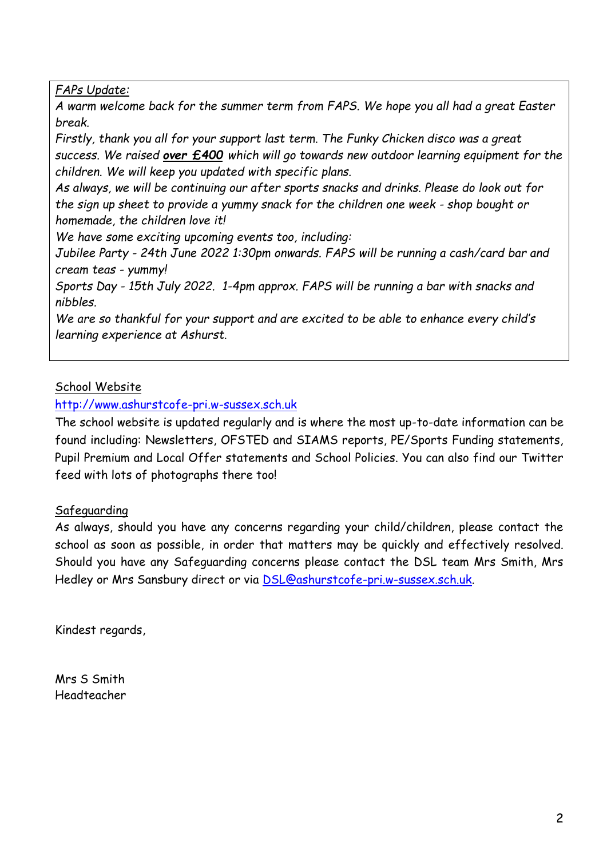*FAPs Update:*

*A warm welcome back for the summer term from FAPS. We hope you all had a great Easter break.*

*Firstly, thank you all for your support last term. The Funky Chicken disco was a great success. We raised over £400 which will go towards new outdoor learning equipment for the children. We will keep you updated with specific plans.*

*As always, we will be continuing our after sports snacks and drinks. Please do look out for the sign up sheet to provide a yummy snack for the children one week - shop bought or homemade, the children love it!*

*We have some exciting upcoming events too, including:*

*Jubilee Party - 24th June 2022 1:30pm onwards. FAPS will be running a cash/card bar and cream teas - yummy!*

*Sports Day - 15th July 2022. 1-4pm approx. FAPS will be running a bar with snacks and nibbles.*

*We are so thankful for your support and are excited to be able to enhance every child's learning experience at Ashurst.*

### School Website

[http://www.ashurstcofe-pri.w-sussex.sch.uk](http://www.ashurstcofe-pri.w-sussex.sch.uk/)

The school website is updated regularly and is where the most up-to-date information can be found including: Newsletters, OFSTED and SIAMS reports, PE/Sports Funding statements, Pupil Premium and Local Offer statements and School Policies. You can also find our Twitter feed with lots of photographs there too!

#### Safeguarding

As always, should you have any concerns regarding your child/children, please contact the school as soon as possible, in order that matters may be quickly and effectively resolved. Should you have any Safeguarding concerns please contact the DSL team Mrs Smith, Mrs Hedley or Mrs Sansbury direct or via [DSL@ashurstcofe-pri.w-sussex.sch.uk.](mailto:DSL@ashurstcofe-pri.w-sussex.sch.uk)

Kindest regards,

Mrs S Smith Headteacher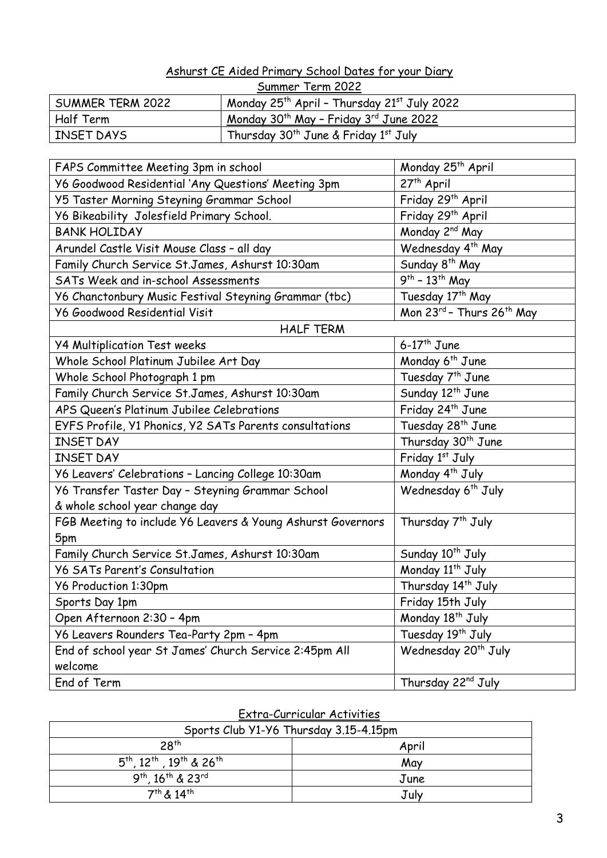#### Ashurst CE Aided Primary School Dates for your Diary

| Summer Term 2022 |                                                                     |  |
|------------------|---------------------------------------------------------------------|--|
| SUMMER TERM 2022 | Monday 25 <sup>th</sup> April - Thursday 21 <sup>st</sup> July 2022 |  |
| Half Term        | Monday 30 <sup>th</sup> May - Friday 3 <sup>rd</sup> June 2022      |  |
| INSET DAYS       | Thursday $30^{th}$ June & Friday $1^{st}$ July                      |  |

| FAPS Committee Meeting 3pm in school                        | Monday 25 <sup>th</sup> April   |  |  |
|-------------------------------------------------------------|---------------------------------|--|--|
| Y6 Goodwood Residential 'Any Questions' Meeting 3pm         | $27th$ April                    |  |  |
| Y5 Taster Morning Steyning Grammar School                   | Friday 29th April               |  |  |
| Y6 Bikeability Jolesfield Primary School.                   | Friday 29 <sup>th</sup> April   |  |  |
| <b>BANK HOLIDAY</b>                                         | Monday 2 <sup>nd</sup> May      |  |  |
| Arundel Castle Visit Mouse Class - all day                  | Wednesday 4 <sup>th</sup> May   |  |  |
| Family Church Service St.James, Ashurst 10:30am             | Sunday 8 <sup>th</sup> May      |  |  |
| SATs Week and in-school Assessments                         | $9^{th}$ - 13 <sup>th</sup> May |  |  |
| Y6 Chanctonbury Music Festival Steyning Grammar (tbc)       | Tuesday 17 <sup>th</sup> May    |  |  |
| <b>Y6 Goodwood Residential Visit</b>                        | Mon 23rd - Thurs 26th May       |  |  |
| <b>HALF TERM</b>                                            |                                 |  |  |
| <b>Y4 Multiplication Test weeks</b>                         | $6-17$ <sup>th</sup> June       |  |  |
| Whole School Platinum Jubilee Art Day                       | Monday 6 <sup>th</sup> June     |  |  |
| Whole School Photograph 1 pm                                | Tuesday 7 <sup>th</sup> June    |  |  |
| Family Church Service St.James, Ashurst 10:30am             | Sunday 12 <sup>th</sup> June    |  |  |
| APS Queen's Platinum Jubilee Celebrations                   | Friday 24 <sup>th</sup> June    |  |  |
| EYFS Profile, Y1 Phonics, Y2 SATs Parents consultations     | Tuesday 28 <sup>th</sup> June   |  |  |
| <b>INSET DAY</b>                                            | Thursday 30 <sup>th</sup> June  |  |  |
| <b>INSET DAY</b>                                            | Friday 1st July                 |  |  |
| Y6 Leavers' Celebrations - Lancing College 10:30am          | Monday 4 <sup>th</sup> July     |  |  |
| Y6 Transfer Taster Day - Steyning Grammar School            | Wednesday 6 <sup>th</sup> July  |  |  |
| & whole school year change day                              |                                 |  |  |
| FGB Meeting to include Y6 Leavers & Young Ashurst Governors | Thursday 7 <sup>th</sup> July   |  |  |
| 5pm                                                         |                                 |  |  |
| Family Church Service St.James, Ashurst 10:30am             | Sunday 10 <sup>th</sup> July    |  |  |
| <b>Y6 SATs Parent's Consultation</b>                        | Monday 11 <sup>th</sup> July    |  |  |
| Y6 Production 1:30pm                                        | Thursday 14 <sup>th</sup> July  |  |  |
| Sports Day 1pm                                              | Friday 15th July                |  |  |
| Open Afternoon 2:30 - 4pm                                   | Monday 18 <sup>th</sup> July    |  |  |
| Y6 Leavers Rounders Tea-Party 2pm - 4pm                     | Tuesday 19th July               |  |  |
| End of school year St James' Church Service 2:45pm All      | Wednesday 20 <sup>th</sup> July |  |  |
| welcome                                                     |                                 |  |  |
| End of Term                                                 | Thursday 22nd July              |  |  |

| Sports Club Y1-Y6 Thursday 3.15-4.15pm       |       |  |
|----------------------------------------------|-------|--|
| 28 <sup>th</sup>                             | April |  |
| $5^{th}$ , $12^{th}$ , $19^{th}$ & $26^{th}$ | May   |  |
| $9^{th}$ , $16^{th}$ & $23^{rd}$             | June  |  |
| $7^{th}$ & $14^{th}$                         | July  |  |